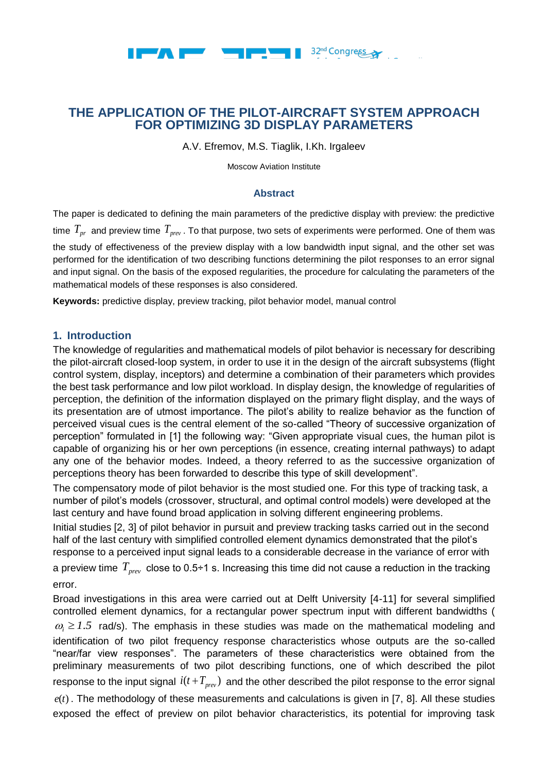

A.V. Efremov, M.S. Tiaglik, I.Kh. Irgaleev

Moscow Aviation Institute

### **Abstract**

The paper is dedicated to defining the main parameters of the predictive display with preview: the predictive time  $\,T_{_{pr}\,}$  and preview time  $\,T_{_{prev}}$  . To that purpose, two sets of experiments were performed. One of them was the study of effectiveness of the preview display with a low bandwidth input signal, and the other set was performed for the identification of two describing functions determining the pilot responses to an error signal and input signal. On the basis of the exposed regularities, the procedure for calculating the parameters of the mathematical models of these responses is also considered.

**Keywords:** predictive display, preview tracking, pilot behavior model, manual control

## **1. Introduction**

The knowledge of regularities and mathematical models of pilot behavior is necessary for describing the pilot-aircraft closed-loop system, in order to use it in the design of the aircraft subsystems (flight control system, display, inceptors) and determine a combination of their parameters which provides the best task performance and low pilot workload. In display design, the knowledge of regularities of perception, the definition of the information displayed on the primary flight display, and the ways of its presentation are of utmost importance. The pilot's ability to realize behavior as the function of perceived visual cues is the central element of the so-called "Theory of successive organization of perception" formulated in [1] the following way: "Given appropriate visual cues, the human pilot is capable of organizing his or her own perceptions (in essence, creating internal pathways) to adapt any one of the behavior modes. Indeed, a theory referred to as the successive organization of perceptions theory has been forwarded to describe this type of skill development".

The compensatory mode of pilot behavior is the most studied one. For this type of tracking task, a number of pilot's models (crossover, structural, and optimal control models) were developed at the last century and have found broad application in solving different engineering problems.

Initial studies [2, 3] of pilot behavior in pursuit and preview tracking tasks carried out in the second half of the last century with simplified controlled element dynamics demonstrated that the pilot's response to a perceived input signal leads to a considerable decrease in the variance of error with

a preview time  $\,T_{_{prev}}\,$  close to 0.5÷1 s. Increasing this time did not cause a reduction in the tracking error.

Broad investigations in this area were carried out at Delft University [4-11] for several simplified controlled element dynamics, for a rectangular power spectrum input with different bandwidths (  $\omega_i \geq 1.5$  rad/s). The emphasis in these studies was made on the mathematical modeling and identification of two pilot frequency response characteristics whose outputs are the so-called "near/far view responses". The parameters of these characteristics were obtained from the preliminary measurements of two pilot describing functions, one of which described the pilot response to the input signal  $i(t+T_{prev})$  and the other described the pilot response to the error signal  $e(t)$ . The methodology of these measurements and calculations is given in  $[7, 8]$ . All these studies exposed the effect of preview on pilot behavior characteristics, its potential for improving task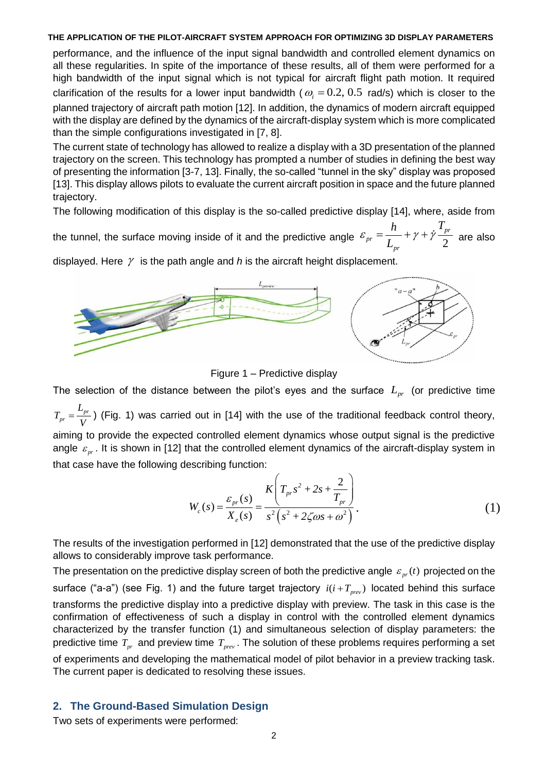performance, and the influence of the input signal bandwidth and controlled element dynamics on all these regularities. In spite of the importance of these results, all of them were performed for a high bandwidth of the input signal which is not typical for aircraft flight path motion. It required clarification of the results for a lower input bandwidth ( $\omega_i = 0.2, 0.5$  rad/s) which is closer to the planned trajectory of aircraft path motion [12]. In addition, the dynamics of modern aircraft equipped with the display are defined by the dynamics of the aircraft-display system which is more complicated than the simple configurations investigated in [7, 8].

The current state of technology has allowed to realize a display with a 3D presentation of the planned trajectory on the screen. This technology has prompted a number of studies in defining the best way of presenting the information [3-7, 13]. Finally, the so-called "tunnel in the sky" display was proposed [13]. This display allows pilots to evaluate the current aircraft position in space and the future planned trajectory.

The following modification of this display is the so-called predictive display [14], where, aside from

the tunnel, the surface moving inside of it and the predictive angle  $\mathscr{E}_{pr} = \frac{1}{L_{pr}} + \gamma + \gamma - \frac{1}{2}$ *pr pr pr*  $h$   $T$ *L*  $\varepsilon_{pr} = \frac{n}{I} + \gamma + \dot{\gamma} \frac{I_{pr}}{2}$  are also

displayed. Here  $\gamma$  is the path angle and *h* is the aircraft height displacement.



Figure 1 – Predictive display

The selection of the distance between the pilot's eyes and the surface *Lpr* (or predictive time *pr pr L T V*  $=\frac{-p_r}{r}$ ) (Fig. 1) was carried out in [14] with the use of the traditional feedback control theory, aiming to provide the expected controlled element dynamics whose output signal is the predictive angle  $\varepsilon_{_{pr}}$ . It is shown in [12] that the controlled element dynamics of the aircraft-display system in that case have the following describing function:

$$
\text{Rescribing function:} \\
W_c(s) = \frac{\varepsilon_{pr}(s)}{X_e(s)} = \frac{K\left(T_{pr}s^2 + 2s + \frac{2}{T_{pr}}\right)}{s^2\left(s^2 + 2\zeta\omega s + \omega^2\right)}.\n\tag{1}
$$

The results of the investigation performed in [12] demonstrated that the use of the predictive display allows to considerably improve task performance.

The presentation on the predictive display screen of both the predictive angle  $\varepsilon_{_{pr}}(t)$  projected on the surface ("a-a") (see Fig. 1) and the future target trajectory  $i(i+T_{prev})$  located behind this surface transforms the predictive display into a predictive display with preview. The task in this case is the confirmation of effectiveness of such a display in control with the controlled element dynamics characterized by the transfer function (1) and simultaneous selection of display parameters: the predictive time  $T_{pr}$  and preview time  $T_{prev}$ . The solution of these problems requires performing a set of experiments and developing the mathematical model of pilot behavior in a preview tracking task.

The current paper is dedicated to resolving these issues.

# **2. The Ground-Based Simulation Design**

Two sets of experiments were performed: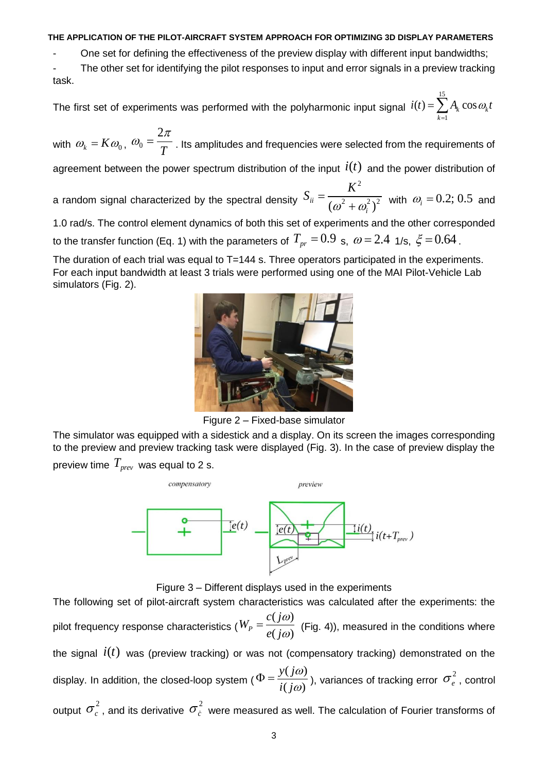- One set for defining the effectiveness of the preview display with different input bandwidths;

- The other set for identifying the pilot responses to input and error signals in a preview tracking task.

The first set of experiments was performed with the polyharmonic input signal 15 1  $(t) = \sum A_k \cos \omega_k$ *k*  $i(t) = \sum A_k \cos \omega_k t$  $=\sum_{k=1}$ 

with  $\omega_{k} = K \omega_{0}$ ,  $\omega_{0}$ 2 *T*  $\omega_0 = \frac{2\pi}{T}$  . Its amplitudes and frequencies were selected from the requirements of

agreement between the power spectrum distribution of the input  $i(t)$  and the power distribution of

a random signal characterized by the spectral density 2  $\frac{1}{2}$ <sup>*ii*</sup>  $(\omega^2 + \omega_i^2)^2$ *K S*  $\omega^2+\omega_i^2$  $=$  $\sqrt{(\omega_i^2)^2}$  with  $\omega_i = 0.2; 0.5$  and

1.0 rad/s. The control element dynamics of both this set of experiments and the other corresponded to the transfer function (Eq. 1) with the parameters of  $T_{pr}$  =  $0.9\,$  s,  $\,\omega$  =  $2.4\,$  1/s,  $\,\xi$  =  $0.64$  .

The duration of each trial was equal to T=144 s. Three operators participated in the experiments. For each input bandwidth at least 3 trials were performed using one of the MAI Pilot-Vehicle Lab simulators (Fig. 2).



Figure 2 – Fixed-base simulator

The simulator was equipped with a sidestick and a display. On its screen the images corresponding to the preview and preview tracking task were displayed (Fig. 3). In the case of preview display the preview time *Tprev* was equal to 2 s.



Figure 3 – Different displays used in the experiments

The following set of pilot-aircraft system characteristics was calculated after the experiments: the pilot frequency response characteristics (  $(j\omega)$  $\int_{P}$ <sup>*P*</sup>  $e(j\omega)$  $W_p = \frac{c(j)}{j}$ *e j*  $\omega$  $\omega$  $=\frac{\mathcal{C}(f\omega)}{\mathcal{C}(f\omega)}$  (Fig. 4)), measured in the conditions where the signal  $\,i(t)\,$  was (preview tracking) or was not (compensatory tracking) demonstrated on the display. In addition, the closed-loop system (  $(j\omega)$  $(j\omega)$ *y j*  $i(j)$  $\omega$  $\omega$  $\Phi = \frac{y(f\omega)}{f(f\omega)}$ , variances of tracking error  $\sigma_e^2$ , control output  $\sigma_c^2$  , and its derivative  $\sigma_{\dot c}^2$  were measured as well. The calculation of Fourier transforms of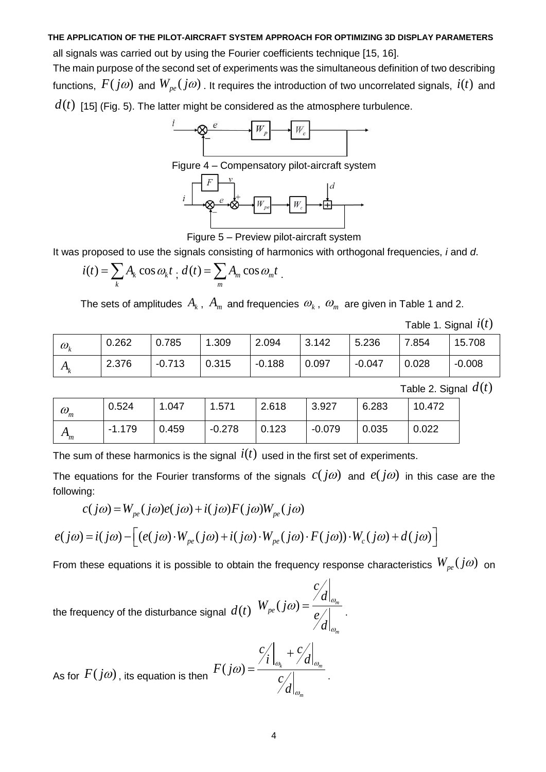all signals was carried out by using the Fourier coefficients technique [15, 16].

The main purpose of the second set of experiments was the simultaneous definition of two describing functions,  $F(j\omega)$  and  $W_{pe}(j\omega)$  . It requires the introduction of two uncorrelated signals,  $\it{i}(t)$  and  $d(t)\,$  [15] (Fig. 5). The latter might be considered as the atmosphere turbulence.



Figure 4 – Compensatory pilot-aircraft system



Figure 5 – Preview pilot-aircraft system

It was proposed to use the signals consisting of harmonics with orthogonal frequencies, *i* and *d*.

$$
i(t) = \sum_{k} A_{k} \cos \omega_{k} t \cdot d(t) = \sum_{m} A_{m} \cos \omega_{m} t.
$$

The sets of amplitudes  $\,A_{\scriptscriptstyle{k}}$  ,  $\,A_{\scriptscriptstyle{m}}\,$  and frequencies  $\,\omega_{\scriptscriptstyle{k}}$  ,  $\,\omega_{\scriptscriptstyle{m}}\,$  are given in Table 1 and 2.

Table 1. Signal  $\hat{i}(t)$ 

| $\omega_{\iota}$ | 0.262 | 0.785    | .309  | 2.094    | 3.142 | 5.236    | 7.854 | 15.708   |
|------------------|-------|----------|-------|----------|-------|----------|-------|----------|
| $A_k$            | 2.376 | $-0.713$ | 0.315 | $-0.188$ | 0.097 | $-0.047$ | 0.028 | $-0.008$ |

Table 2. Signal  $d(t)$ 

| $\omega_{\scriptscriptstyle m}$ | 0.524    | 1.047 | 1.571    | 2.618 | 3.927    | 6.283 | 10.472 |
|---------------------------------|----------|-------|----------|-------|----------|-------|--------|
| $A_m$                           | $-1.179$ | 0.459 | $-0.278$ | 0.123 | $-0.079$ | 0.035 | 0.022  |

The sum of these harmonics is the signal  $\hat{i}(t)$  used in the first set of experiments.

The equations for the Fourier transforms of the signals  $c(j\omega)$  and  $e(j\omega)$  in this case are the following:

$$
c(j\omega) = W_{pe}(j\omega)e(j\omega) + i(j\omega)F(j\omega)W_{pe}(j\omega)
$$
  

$$
e(j\omega) = i(j\omega) - [(e(j\omega) \cdot W_{pe}(j\omega) + i(j\omega) \cdot W_{pe}(j\omega) \cdot F(j\omega)) \cdot W_c(j\omega) + d(j\omega)]
$$

From these equations it is possible to obtain the frequency response characteristics  $W_{pe}(j\omega)$  on

the frequency of the disturbance signal  $d(t)$   $W_{pe}(j\omega) = \frac{\partial^2 u}{\partial \omega_{pe}}$ *m c d*  $W_{pe}(j)$ *e d*  $\omega$ ) =  $\frac{\alpha_{\theta_m}}{\rho}$ .  $\omega$ 

As for 
$$
F(j\omega)
$$
, its equation is then 
$$
\frac{c'_i}{d} \bigg|_{\omega_k} + \frac{c'_d}{d} \bigg|_{\omega_m}
$$

.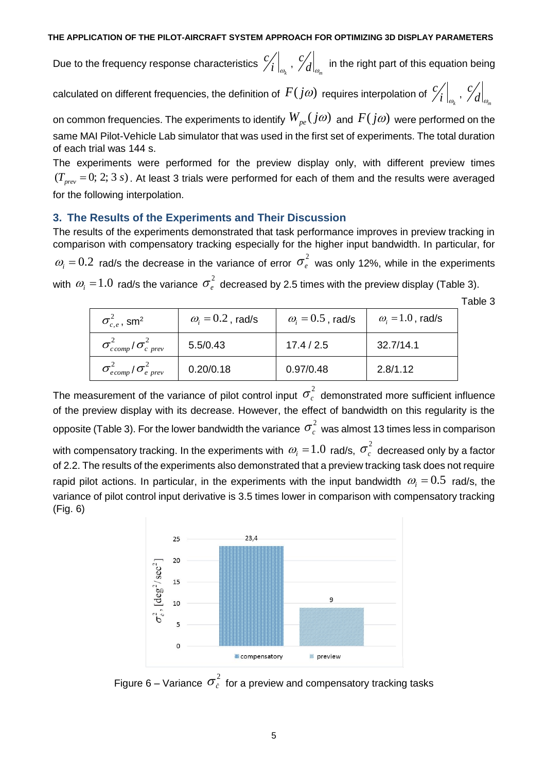Due to the frequency response characteristics  $\left.\left.\middle/ \right. _{i}\right| _{_{\mathcal{O}_{k}}}$ *c*  $\left. i\right. \right| _{\omega_{_{k}}}$  ,  $\left. \right/ d\right| _{\omega_{_{m}}}$ *c*  $\left. d \right|_{\omega_{m}}$  in the right part of this equation being

calculated on different frequencies, the definition of  $F(j\omega)$  requires interpolation of  $\frac{c}{\sqrt{2}}$  $\begin{pmatrix} 1 \end{pmatrix}_{\omega_k}$  ,  $\begin{pmatrix} c \end{pmatrix}$  $d|_{\omega}$ 

on common frequencies. The experiments to identify  $W_{_{pe}}(j\omega)$  and  $F(j\omega)$  were performed on the same MAI Pilot-Vehicle Lab simulator that was used in the first set of experiments. The total duration of each trial was 144 s.

The experiments were performed for the preview display only, with different preview times  $(T_{prev} = 0; 2; 3 s)$ . At least 3 trials were performed for each of them and the results were averaged for the following interpolation.

### **3. The Results of the Experiments and Their Discussion**

The results of the experiments demonstrated that task performance improves in preview tracking in comparison with compensatory tracking especially for the higher input bandwidth. In particular, for  $\omega_i = 0.2$  rad/s the decrease in the variance of error  $\sigma_e^2$  was only 12%, while in the experiments with  $\ket{\omega_i}$  =  $1.0\,$  rad/s the variance  $\sigma_e^2$  decreased by 2.5 times with the preview display (Table 3).

Table 3

*k*

*m*

| $\sigma_{c.e}^2$ , sm <sup>2</sup>                  | $\omega_i = 0.2$ , rad/s | $\omega_i = 0.5$ , rad/s | $\omega_i = 1.0$ , rad/s |
|-----------------------------------------------------|--------------------------|--------------------------|--------------------------|
| $\sigma_{\text{c comp}}^2/\sigma_{\text{c prev}}^2$ | 5.5/0.43                 | 17.4 / 2.5               | 32.7/14.1                |
| $\sigma_{e\,comp}^2/\sigma_{e\, \,prev}^2$          | 0.20/0.18                | 0.97/0.48                | 2.8/1.12                 |

The measurement of the variance of pilot control input  $\sigma_c^2$  demonstrated more sufficient influence of the preview display with its decrease. However, the effect of bandwidth on this regularity is the opposite (Table 3). For the lower bandwidth the variance  $\sigma_c^2$  was almost 13 times less in comparison with compensatory tracking. In the experiments with  $\,\omega_{_{\!i}}=$   $\!1.0\,$  rad/s,  $\,\sigma_{_{c}}^{\,2}\,$  decreased only by a factor of 2.2. The results of the experiments also demonstrated that a preview tracking task does not require rapid pilot actions. In particular, in the experiments with the input bandwidth  $\omega_i = 0.5\,$  rad/s, the variance of pilot control input derivative is 3.5 times lower in comparison with compensatory tracking (Fig. 6)



Figure 6 – Variance  $\, \sigma_{\dot{c}}^{2} \,$  for a preview and compensatory tracking tasks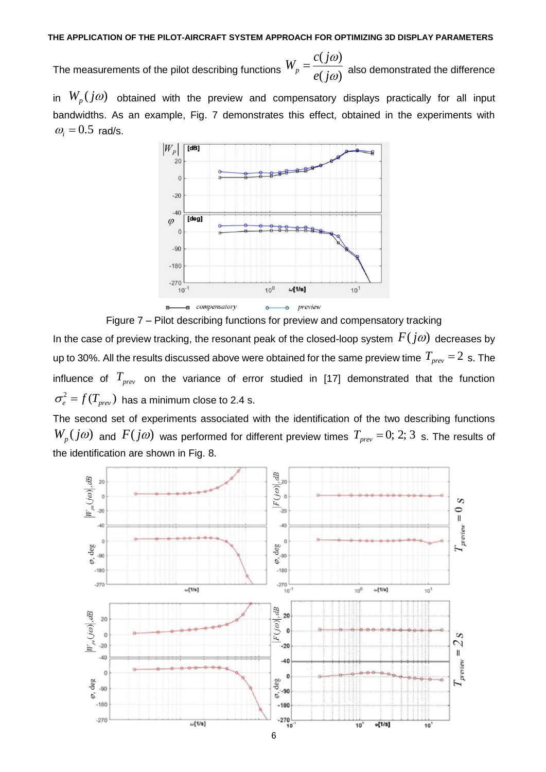The measurements of the pilot describing functions  $(j\omega)$  $\ell^p$  *e*(*j* $\omega$ )  $W_p = \frac{c(j)}{j}$ *e j*  $\omega$  $\omega$  $=\frac{\partial (f\omega)}{\partial (f\omega)}$  also demonstrated the difference

in  $W_p(j\omega)$  obtained with the preview and compensatory displays practically for all input bandwidths. As an example, Fig. 7 demonstrates this effect, obtained in the experiments with  $\omega_i = 0.5$  rad/s.



Figure 7 – Pilot describing functions for preview and compensatory tracking

In the case of preview tracking, the resonant peak of the closed-loop system  $F(j\omega)$  decreases by up to 30%. All the results discussed above were obtained for the same preview time  $T_{_{\it prev}}$  =  $2\,$  s. The influence of  $T_{prev}$  on the variance of error studied in [17] demonstrated that the function  $\sigma_{\scriptscriptstyle e}^2$  =  $f(T_{\scriptscriptstyle prev})\,$  has a minimum close to 2.4 s.

The second set of experiments associated with the identification of the two describing functions  $W_p(j\omega)$  and  $F(j\omega)$  was performed for different preview times  $T_{prev} = 0$ ; 2; 3 s. The results of the identification are shown in Fig. 8.

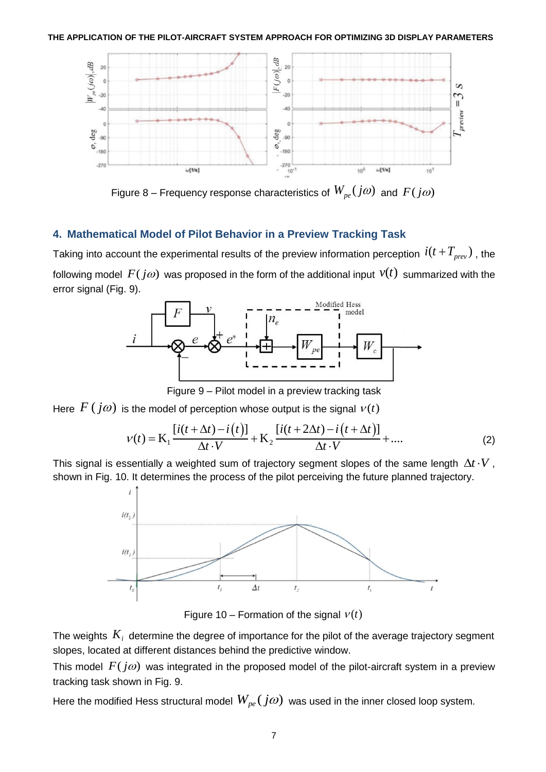

Figure 8 – Frequency response characteristics of  $W_{\scriptscriptstyle{pe}}(j\omega)$  and  $F(j\omega)$ 

### **4. Mathematical Model of Pilot Behavior in a Preview Tracking Task**

Taking into account the experimental results of the preview information perception  $\,i(t\!+\!T_{prev})$  , the following model  $\,F(j\omega)$  was proposed in the form of the additional input  $\,\nu(t)\,$  summarized with the error signal (Fig. 9).



Figure 9 – Pilot model in a preview tracking task

Here  $F\left(j\omega\right)$  is the model of perception whose output is the signal  $v(t)$ 

s the model of perception whose output is the signal 
$$
v(t)
$$
  
\n
$$
v(t) = \mathbf{K}_1 \frac{[i(t + \Delta t) - i(t)]}{\Delta t \cdot V} + \mathbf{K}_2 \frac{[i(t + 2\Delta t) - i(t + \Delta t)]}{\Delta t \cdot V} + \dots
$$
\n(2)

This signal is essentially a weighted sum of trajectory segment slopes of the same length  $\Delta t \cdot V$  , shown in Fig. 10. It determines the process of the pilot perceiving the future planned trajectory.



Figure 10 – Formation of the signal  $v(t)$ 

The weights  $K_i$  determine the degree of importance for the pilot of the average trajectory segment slopes, located at different distances behind the predictive window.

This model  $F(j\omega)$  was integrated in the proposed model of the pilot-aircraft system in a preview tracking task shown in Fig. 9.

Here the modified Hess structural model  $W_{pe}(j\omega)$  was used in the inner closed loop system.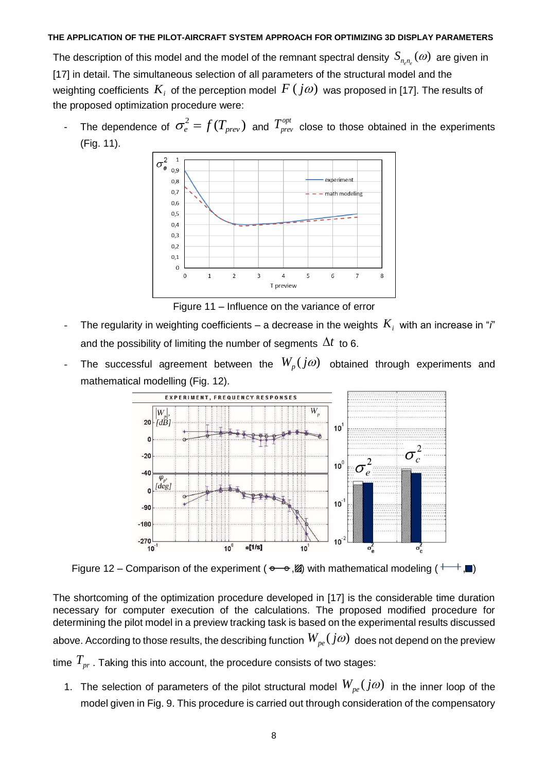The description of this model and the model of the remnant spectral density  $\,_{n_{e}n_{e}}(\omega)\,$  are given in [17] in detail. The simultaneous selection of all parameters of the structural model and the weighting coefficients  $\,K_{i}\,$  of the perception model  $\,F\,({\,j\omega})\,$  was proposed in [17]. The results of the proposed optimization procedure were:

- The dependence of  $\sigma_e^2 = f(T_{prev})$  and  $T_{prev}^{opt}$  close to those obtained in the experiments (Fig. 11).



Figure 11 – Influence on the variance of error

- $\;\;\;$  The regularity in weighting coefficients a decrease in the weights  $\,K_{i}\,$  with an increase in " $\hskip.01cm$  i" and the possibility of limiting the number of segments  $\Delta t$  to 6.
- The successful agreement between the  $W_p(j\omega)$  obtained through experiments and mathematical modelling (Fig. 12).



Figure 12 – Comparison of the experiment ( $\rightarrow \infty$ ,  $\mathbb{Z}$ ) with mathematical modeling ( $+\rightarrow \mathbb{Z}$ )

The shortcoming of the optimization procedure developed in [17] is the considerable time duration necessary for computer execution of the calculations. The proposed modified procedure for determining the pilot model in a preview tracking task is based on the experimental results discussed above. According to those results, the describing function  $W_{_{\it{pe}}}(j\varpi)$  does not depend on the preview time *Tpr* . Taking this into account, the procedure consists of two stages:

1. The selection of parameters of the pilot structural model  $W_{pe}(j\omega)$  in the inner loop of the model given in Fig. 9. This procedure is carried out through consideration of the compensatory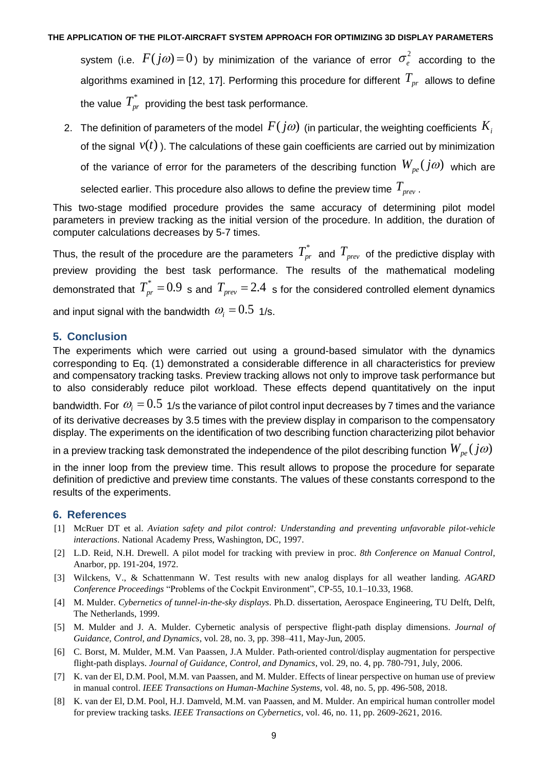system (i.e.  $F(j\omega)$  = 0) by minimization of the variance of error  $\sigma_e^2$  according to the algorithms examined in [12, 17]. Performing this procedure for different  $\emph{T}_{pr}$  allows to define the value  $\overline{T}_{pr}^*$  providing the best task performance.

2. The definition of parameters of the model  $\,F(j\omega)\,$  (in particular, the weighting coefficients  $\,K_{i}\,$ of the signal  $v(t)$  ). The calculations of these gain coefficients are carried out by minimization of the variance of error for the parameters of the describing function  $W_{pe}(j\omega)$  which are selected earlier. This procedure also allows to define the preview time *Tprev* .

This two-stage modified procedure provides the same accuracy of determining pilot model parameters in preview tracking as the initial version of the procedure. In addition, the duration of computer calculations decreases by 5-7 times.

Thus, the result of the procedure are the parameters  $T^*_{pr}$  and  $T_{prev}$  of the predictive display with preview providing the best task performance. The results of the mathematical modeling demonstrated that  $T_{pr}^*$  = 0.9 s and  $T_{prev}$  = 2.4 s for the considered controlled element dynamics and input signal with the bandwidth  $\varpi_{\!i} = 0.5\,$  1/s.

### **5. Conclusion**

The experiments which were carried out using a ground-based simulator with the dynamics corresponding to Eq. (1) demonstrated a considerable difference in all characteristics for preview and compensatory tracking tasks. Preview tracking allows not only to improve task performance but to also considerably reduce pilot workload. These effects depend quantitatively on the input bandwidth. For  $\,\omega_{_{i}}=0.5\,$  1/s the variance of pilot control input decreases by 7 times and the variance of its derivative decreases by 3.5 times with the preview display in comparison to the compensatory display. The experiments on the identification of two describing function characterizing pilot behavior

in a preview tracking task demonstrated the independence of the pilot describing function  $W_{\rho e}(\,j\omega)$ 

in the inner loop from the preview time. This result allows to propose the procedure for separate definition of predictive and preview time constants. The values of these constants correspond to the results of the experiments.

### **6. References**

- [1] McRuer DT et al. *Aviation safety and pilot control: Understanding and preventing unfavorable pilot-vehicle interactions*. National Academy Press, Washington, DC, 1997.
- [2] L.D. Reid, N.H. Drewell. A pilot model for tracking with preview in proc*. 8th Conference on Manual Control*, Anarbor, pp. 191-204, 1972.
- [3] Wilckens, V., & Schattenmann W. Test results with new analog displays for all weather landing. *AGARD Conference Proceedings* "Problems of the Cockpit Environment", CP-55, 10.1–10.33, 1968.
- [4] M. Mulder. *Cybernetics of tunnel-in-the-sky displays*. Ph.D. dissertation, Aerospace Engineering, TU Delft, Delft, The Netherlands, 1999.
- [5] M. Mulder and J. A. Mulder. Cybernetic analysis of perspective flight-path display dimensions. *Journal of Guidance, Control, and Dynamics*, vol. 28, no. 3, pp. 398–411, May-Jun, 2005.
- [6] C. Borst, M. Mulder, M.M. Van Paassen, J.A Mulder. Path-oriented control/display augmentation for perspective flight-path displays. *Journal of Guidance, Control, and Dynamics*, vol. 29, no. 4, pp. 780-791, July, 2006.
- [7] K. van der El, D.M. Pool, M.M. van Paassen, and M. Mulder. Effects of linear perspective on human use of preview in manual control. *IEEE Transactions on Human-Machine Systems*, vol. 48, no. 5, pp. 496-508, 2018.
- [8] K. van der El, D.M. Pool, H.J. Damveld, M.M. van Paassen, and M. Mulder. An empirical human controller model for preview tracking tasks. *IEEE Transactions on Cybernetics*, vol. 46, no. 11, pp. 2609-2621, 2016.